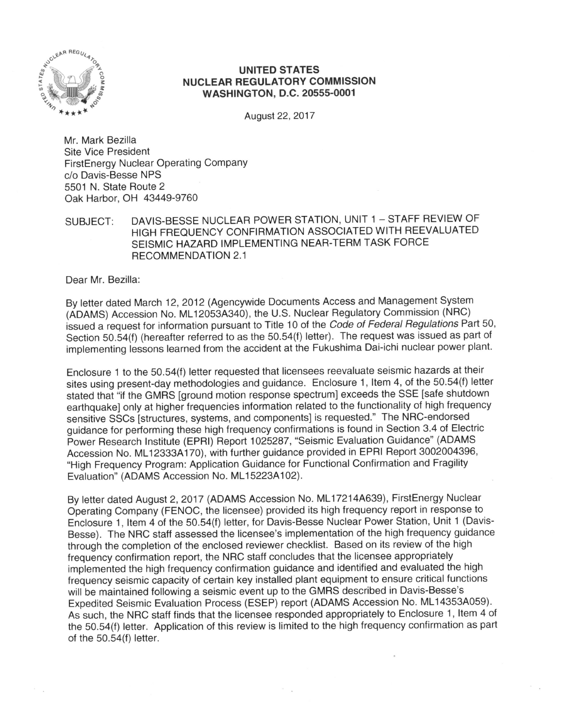

## **UNITED STATES NUCLEAR REGULATORY COMMISSION WASHINGTON, D.C. 20555-0001**

August 22, 2017

Mr. Mark Bezilla **Site Vice President FirstEnergy Nuclear Operating Company** c/o Davis-Besse NPS 5501 N. State Route 2 Oak Harbor, OH 43449-9760

DAVIS-BESSE NUCLEAR POWER STATION, UNIT 1 - STAFF REVIEW OF SUBJECT: HIGH FREQUENCY CONFIRMATION ASSOCIATED WITH REEVALUATED SEISMIC HAZARD IMPLEMENTING NEAR-TERM TASK FORCE **RECOMMENDATION 2.1** 

Dear Mr. Bezilla:

By letter dated March 12, 2012 (Agencywide Documents Access and Management System (ADAMS) Accession No. ML12053A340), the U.S. Nuclear Regulatory Commission (NRC) issued a request for information pursuant to Title 10 of the Code of Federal Regulations Part 50, Section 50.54(f) (hereafter referred to as the 50.54(f) letter). The request was issued as part of implementing lessons learned from the accident at the Fukushima Dai-ichi nuclear power plant.

Enclosure 1 to the 50.54(f) letter requested that licensees reevaluate seismic hazards at their sites using present-day methodologies and guidance. Enclosure 1, Item 4, of the 50.54(f) letter stated that "if the GMRS [ground motion response spectrum] exceeds the SSE [safe shutdown earthquake] only at higher frequencies information related to the functionality of high frequency sensitive SSCs [structures, systems, and components] is requested." The NRC-endorsed guidance for performing these high frequency confirmations is found in Section 3.4 of Electric Power Research Institute (EPRI) Report 1025287, "Seismic Evaluation Guidance" (ADAMS Accession No. ML12333A170), with further guidance provided in EPRI Report 3002004396, "High Frequency Program: Application Guidance for Functional Confirmation and Fragility Evaluation" (ADAMS Accession No. ML15223A102).

By letter dated August 2, 2017 (ADAMS Accession No. ML17214A639), FirstEnergy Nuclear Operating Company (FENOC, the licensee) provided its high frequency report in response to Enclosure 1, Item 4 of the 50.54(f) letter, for Davis-Besse Nuclear Power Station, Unit 1 (Davis-Besse). The NRC staff assessed the licensee's implementation of the high frequency quidance through the completion of the enclosed reviewer checklist. Based on its review of the high frequency confirmation report, the NRC staff concludes that the licensee appropriately implemented the high frequency confirmation guidance and identified and evaluated the high frequency seismic capacity of certain key installed plant equipment to ensure critical functions will be maintained following a seismic event up to the GMRS described in Davis-Besse's Expedited Seismic Evaluation Process (ESEP) report (ADAMS Accession No. ML14353A059). As such, the NRC staff finds that the licensee responded appropriately to Enclosure 1, Item 4 of the 50.54(f) letter. Application of this review is limited to the high frequency confirmation as part of the 50.54(f) letter.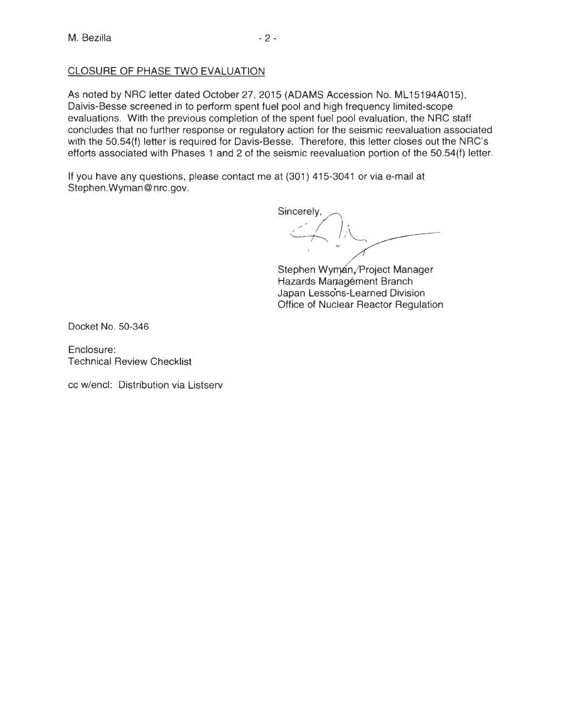# CLOSURE OF PHASE TWO EVALUATION

As noted by NRC letter dated October 27, 2015 (ADAMS Accession No. ML15194A015), Daivis-Besse screened in to perform spent fuel pool and high frequency limited-scope evaluations. With the previous completion of the spent fuel pool evaluation, the NRC staff concludes that no further response or regulatory action for the seismic reevaluation associated with the 50.54(f) letter is required for Davis-Besse. Therefore, this letter closes out the NRC's efforts associated with Phases 1 and 2 of the seismic reevaluation portion of the 50.54(f) letter.

If you have any questions, please contact me at (301) 415-3041 or via e-mail at Stephen.Wyman@nrc.gov.

Sincerely.

Stephen Wyman, Project Manager Hazards Managément Branch Japan Lessons-Learned Division Office of Nuclear Reactor Regulation

Docket No. 50-346

Enclosure: Technical Review Checklist

cc w/encl: Distribution via Listserv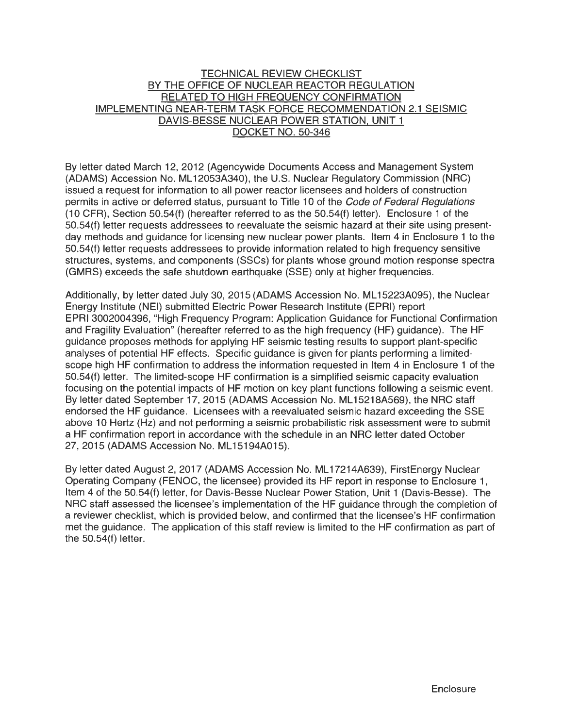## TECHNICAL REVIEW CHECKLIST BY THE OFFICE OF NUCLEAR REACTOR REGULATION RELATED TO HIGH FREQUENCY CONFIRMATION IMPLEMENTING NEAR-TERM TASK FORCE RECOMMENDATION 2.1 SEISMIC DAVIS-BESSE NUCLEAR POWER STATION. UNIT 1 DOCKET NO. 50-346

By letter dated March 12, 2012 (Agencywide Documents Access and Management System (ADAMS) Accession No. ML 12053A340), the U.S. Nuclear Regulatory Commission (NRC) issued a request for information to all power reactor licensees and holders of construction permits in active or deferred status, pursuant to Title 10 of the Code of Federal Regulations (1 O CFR), Section 50.54(f) (hereafter referred to as the 50.54(f) letter). Enclosure 1 of the 50.54(f) letter requests addressees to reevaluate the seismic hazard at their site using presentday methods and guidance for licensing new nuclear power plants. Item 4 in Enclosure 1 to the 50.54(f) letter requests addressees to provide information related to high frequency sensitive structures, systems, and components (SSCs) for plants whose ground motion response spectra (GMRS) exceeds the safe shutdown earthquake (SSE) only at higher frequencies.

Additionally, by letter dated July 30, 2015 (ADAMS Accession No. ML 15223A095), the Nuclear Energy Institute (NEI) submitted Electric Power Research Institute (EPRI) report EPRI 3002004396, "High Frequency Program: Application Guidance for Functional Confirmation and Fragility Evaluation" (hereafter referred to as the high frequency (HF) guidance). The HF guidance proposes methods for applying HF seismic testing results to support plant-specific analyses of potential HF effects. Specific guidance is given for plants performing a limitedscope high HF confirmation to address the information requested in Item 4 in Enclosure 1 of the 50.54(f) letter. The limited-scope HF confirmation is a simplified seismic capacity evaluation focusing on the potential impacts of HF motion on key plant functions following a seismic event. By letter dated September 17, 2015 (ADAMS Accession No. ML 15218A569), the NRC staff endorsed the HF guidance. Licensees with a reevaluated seismic hazard exceeding the SSE above 10 Hertz (Hz) and not performing a seismic probabilistic risk assessment were to submit a HF confirmation report in accordance with the schedule in an NRC letter dated October 27, 2015 (ADAMS Accession No. ML15194A015).

By letter dated August 2, 2017 (ADAMS Accession No. ML 17214A639), FirstEnergy Nuclear Operating Company (FENOC, the licensee) provided its HF report in response to Enclosure 1, Item 4 of the 50.54(f) letter, for Davis-Besse Nuclear Power Station, Unit 1 (Davis-Besse). The NRC staff assessed the licensee's implementation of the HF guidance through the completion of a reviewer checklist, which is provided below, and confirmed that the licensee's HF confirmation met the guidance. The application of this staff review is limited to the HF confirmation as part of the 50.54(f) letter.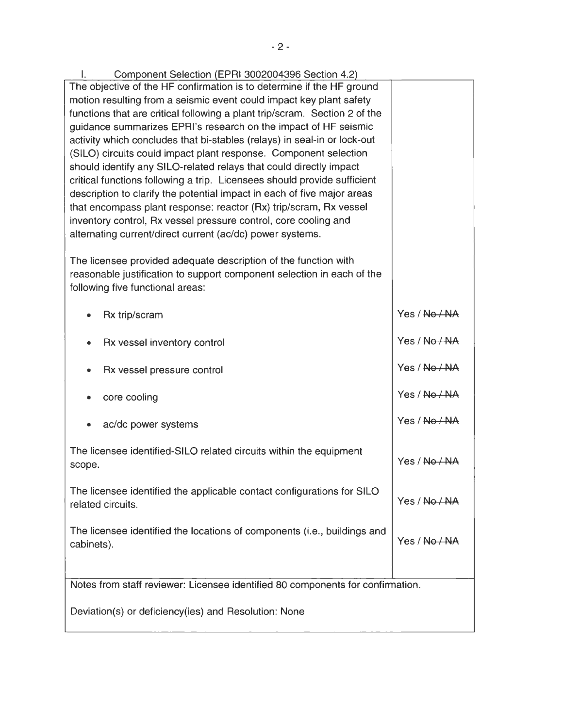| Component Selection (EPRI 3002004396 Section 4.2)                                                                                                                             |               |
|-------------------------------------------------------------------------------------------------------------------------------------------------------------------------------|---------------|
| The objective of the HF confirmation is to determine if the HF ground                                                                                                         |               |
| motion resulting from a seismic event could impact key plant safety                                                                                                           |               |
| functions that are critical following a plant trip/scram. Section 2 of the                                                                                                    |               |
| guidance summarizes EPRI's research on the impact of HF seismic                                                                                                               |               |
| activity which concludes that bi-stables (relays) in seal-in or lock-out                                                                                                      |               |
| (SILO) circuits could impact plant response. Component selection                                                                                                              |               |
| should identify any SILO-related relays that could directly impact                                                                                                            |               |
| critical functions following a trip. Licensees should provide sufficient                                                                                                      |               |
| description to clarify the potential impact in each of five major areas                                                                                                       |               |
| that encompass plant response: reactor (Rx) trip/scram, Rx vessel                                                                                                             |               |
| inventory control, Rx vessel pressure control, core cooling and                                                                                                               |               |
| alternating current/direct current (ac/dc) power systems.                                                                                                                     |               |
| The licensee provided adequate description of the function with<br>reasonable justification to support component selection in each of the<br>following five functional areas: |               |
| Rx trip/scram                                                                                                                                                                 | Yes / No / NA |
| Rx vessel inventory control<br>٠                                                                                                                                              | Yes / No / NA |
| Rx vessel pressure control                                                                                                                                                    | Yes / No / NA |
| core cooling                                                                                                                                                                  | Yes / No / NA |
| ac/dc power systems                                                                                                                                                           | Yes / No / NA |
| The licensee identified-SILO related circuits within the equipment<br>scope.                                                                                                  | Yes / No / NA |
|                                                                                                                                                                               |               |
| The licensee identified the applicable contact configurations for SILO<br>related circuits.                                                                                   | Yes / No / NA |
|                                                                                                                                                                               |               |
| The licensee identified the locations of components (i.e., buildings and                                                                                                      |               |
| cabinets).                                                                                                                                                                    | Yes / No / NA |
|                                                                                                                                                                               |               |
| Notes from staff reviewer: Licensee identified 80 components for confirmation.                                                                                                |               |
|                                                                                                                                                                               |               |
| Deviation(s) or deficiency(ies) and Resolution: None                                                                                                                          |               |
|                                                                                                                                                                               |               |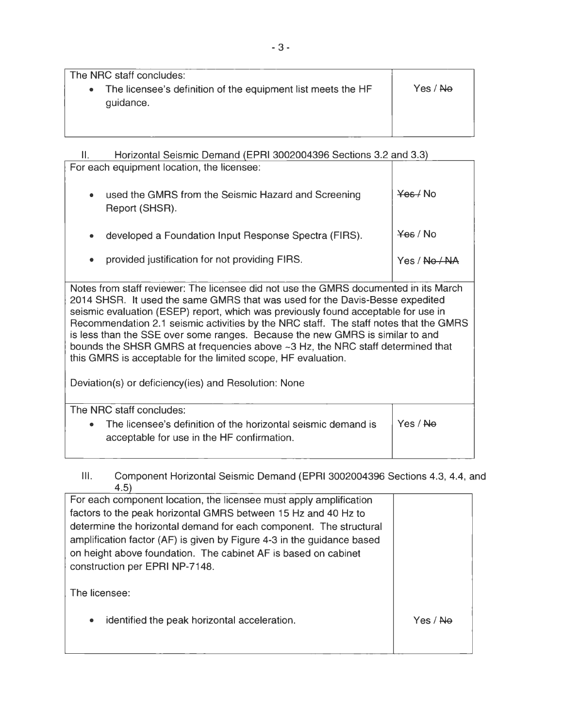The NRC staff concludes:

• The licensee's definition of the equipment list meets the HF guidance. Yes / Ne

II. Horizontal Seismic Demand (EPRI 3002004396 Sections 3.2 and 3.3) For each equipment location, the licensee:

| used the GMRS from the Seismic Hazard and Screening<br>Report (SHSR). | Yes / No            |
|-----------------------------------------------------------------------|---------------------|
| developed a Foundation Input Response Spectra (FIRS).                 | <del>Yes</del> / No |
| provided justification for not providing FIRS.                        | Yes / No / NA       |

Notes from staff reviewer: The licensee did not use the GMRS documented in its March 2014 SHSR. It used the same GMRS that was used for the Davis-Besse expedited seismic evaluation (ESEP) report, which was previously found acceptable for use in Recommendation 2.1 seismic activities by the NRC staff. The staff notes that the GMRS is less than the SSE over some ranges. Because the new GMRS is similar to and bounds the SHSR GMRS at frequencies above ~3 Hz, the NRC staff determined that this GMRS is acceptable for the limited scope, HF evaluation.

Deviation(s) or deficiency(ies) and Resolution: None

| The NRC staff concludes:                                        |          |
|-----------------------------------------------------------------|----------|
| • The licensee's definition of the horizontal seismic demand is | Yes / No |
| acceptable for use in the HF confirmation.                      |          |
|                                                                 |          |

## Ill. Component Horizontal Seismic Demand (EPRI 3002004396 Sections 4.3, 4.4, and 4.5)

| For each component location, the licensee must apply amplification     |          |
|------------------------------------------------------------------------|----------|
| factors to the peak horizontal GMRS between 15 Hz and 40 Hz to         |          |
| determine the horizontal demand for each component. The structural     |          |
| amplification factor (AF) is given by Figure 4-3 in the guidance based |          |
| on height above foundation. The cabinet AF is based on cabinet         |          |
| construction per EPRI NP-7148.                                         |          |
|                                                                        |          |
| The licensee:                                                          |          |
|                                                                        |          |
| identified the peak horizontal acceleration.<br>$\bullet$              | Yes / Ne |
|                                                                        |          |
|                                                                        |          |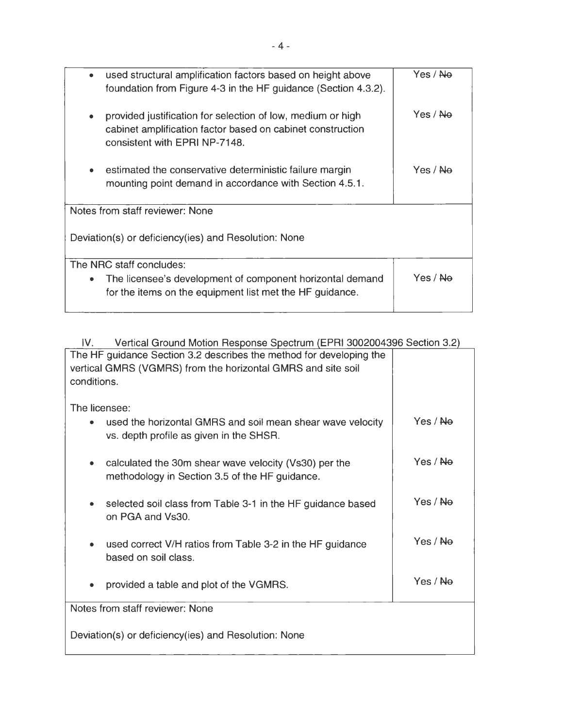| used structural amplification factors based on height above<br>٠<br>foundation from Figure 4-3 in the HF guidance (Section 4.3.2).                              | Yes / Ne            |
|-----------------------------------------------------------------------------------------------------------------------------------------------------------------|---------------------|
| provided justification for selection of low, medium or high<br>۰<br>cabinet amplification factor based on cabinet construction<br>consistent with EPRI NP-7148. | Yes / No            |
| estimated the conservative deterministic failure margin<br>mounting point demand in accordance with Section 4.5.1.                                              | Yes / Ne            |
| Notes from staff reviewer: None                                                                                                                                 |                     |
| Deviation(s) or deficiency(ies) and Resolution: None                                                                                                            |                     |
| The NRC staff concludes:                                                                                                                                        |                     |
| The licensee's development of component horizontal demand<br>۰<br>for the items on the equipment list met the HF guidance.                                      | Yes / <del>No</del> |

| Vertical Ground Motion Response Spectrum (EPRI 3002004396 Section 3.2)<br>IV. |                     |
|-------------------------------------------------------------------------------|---------------------|
| The HF guidance Section 3.2 describes the method for developing the           |                     |
| vertical GMRS (VGMRS) from the horizontal GMRS and site soil                  |                     |
| conditions.                                                                   |                     |
| The licensee:                                                                 |                     |
| used the horizontal GMRS and soil mean shear wave velocity                    | Yes / <b>Ne</b>     |
| vs. depth profile as given in the SHSR.                                       |                     |
|                                                                               |                     |
| calculated the 30m shear wave velocity (Vs30) per the<br>۰                    | Yes / <del>No</del> |
| methodology in Section 3.5 of the HF guidance.                                |                     |
|                                                                               |                     |
| selected soil class from Table 3-1 in the HF guidance based                   | Yes / <del>No</del> |
| on PGA and Vs30.                                                              |                     |
| used correct V/H ratios from Table 3-2 in the HF guidance                     | Yes / <b>Na</b>     |
| based on soil class.                                                          |                     |
|                                                                               |                     |
| provided a table and plot of the VGMRS.                                       | Yes / <del>No</del> |
|                                                                               |                     |
| Notes from staff reviewer: None                                               |                     |
|                                                                               |                     |
| Deviation(s) or deficiency(ies) and Resolution: None                          |                     |
|                                                                               |                     |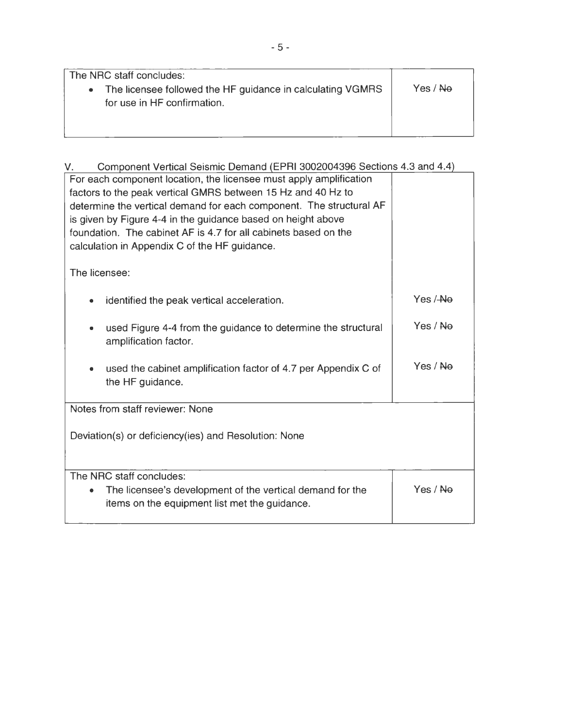| The NRC staff concludes:                                   |          |
|------------------------------------------------------------|----------|
| The licensee followed the HF guidance in calculating VGMRS | Yes / No |
| for use in HF confirmation.                                |          |
|                                                            |          |
|                                                            |          |

| Component Vertical Seismic Demand (EPRI 3002004396 Sections 4.3 and 4.4)<br>$V_{\odot}$ |                     |
|-----------------------------------------------------------------------------------------|---------------------|
| For each component location, the licensee must apply amplification                      |                     |
| factors to the peak vertical GMRS between 15 Hz and 40 Hz to                            |                     |
| determine the vertical demand for each component. The structural AF                     |                     |
| is given by Figure 4-4 in the guidance based on height above                            |                     |
| foundation. The cabinet AF is 4.7 for all cabinets based on the                         |                     |
| calculation in Appendix C of the HF guidance.                                           |                     |
| The licensee:                                                                           |                     |
|                                                                                         |                     |
| identified the peak vertical acceleration.                                              | Yes / <del>No</del> |
|                                                                                         |                     |
| used Figure 4-4 from the guidance to determine the structural<br>$\bullet$              | Yes / No            |
| amplification factor.                                                                   |                     |
|                                                                                         |                     |
| used the cabinet amplification factor of 4.7 per Appendix C of                          | Yes / No            |
| the HF guidance.                                                                        |                     |
|                                                                                         |                     |
| Notes from staff reviewer: None                                                         |                     |
|                                                                                         |                     |
| Deviation(s) or deficiency(ies) and Resolution: None                                    |                     |
|                                                                                         |                     |
| The NRC staff concludes:                                                                |                     |
| The licensee's development of the vertical demand for the<br>۰                          | Yes / No            |
| items on the equipment list met the guidance.                                           |                     |
|                                                                                         |                     |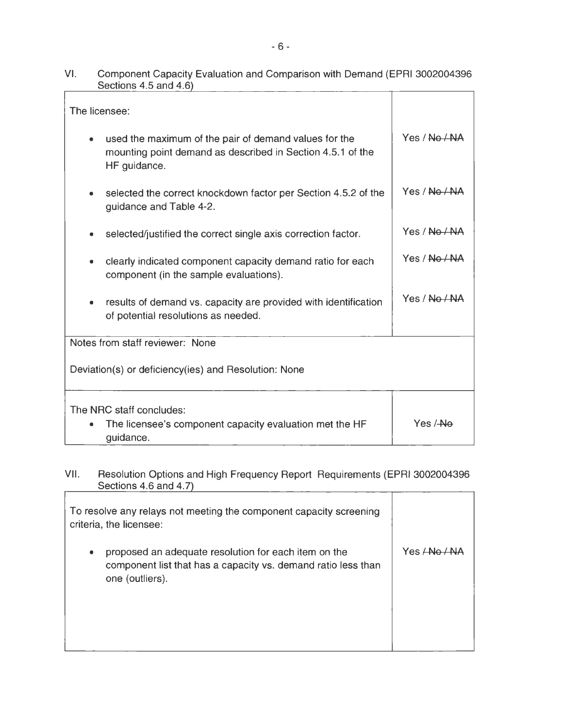| VI. | Component Capacity Evaluation and Comparison with Demand (EPRI 3002004396<br>Sections 4.5 and 4.6) |  |
|-----|----------------------------------------------------------------------------------------------------|--|
|     |                                                                                                    |  |

| The licensee:                                                                                                                            |               |  |
|------------------------------------------------------------------------------------------------------------------------------------------|---------------|--|
| used the maximum of the pair of demand values for the<br>۰<br>mounting point demand as described in Section 4.5.1 of the<br>HF guidance. | Yes / No / NA |  |
| selected the correct knockdown factor per Section 4.5.2 of the<br>۰<br>guidance and Table 4-2.                                           | Yes / No / NA |  |
| selected/justified the correct single axis correction factor.<br>۰                                                                       | Yes / Na / Na |  |
| clearly indicated component capacity demand ratio for each<br>۰<br>component (in the sample evaluations).                                | Yes / No / NA |  |
| results of demand vs. capacity are provided with identification<br>۰<br>of potential resolutions as needed.                              | Yes / No / NA |  |
| Notes from staff reviewer: None                                                                                                          |               |  |
| Deviation(s) or deficiency(ies) and Resolution: None                                                                                     |               |  |
| The NRC staff concludes:<br>The licensee's component capacity evaluation met the HF<br>۰<br>guidance.                                    | Yes /-Ne      |  |

#### VII. Resolution Options and High Frequency Report Requirements (EPRI 3002004396 Sections 4.6 and 4.7)  $\overline{\phantom{0}}$

| To resolve any relays not meeting the component capacity screening<br>criteria, the licensee:                                                 |                    |
|-----------------------------------------------------------------------------------------------------------------------------------------------|--------------------|
| proposed an adequate resolution for each item on the<br>۰<br>component list that has a capacity vs. demand ratio less than<br>one (outliers). | Yes <del>L</del> N |
|                                                                                                                                               |                    |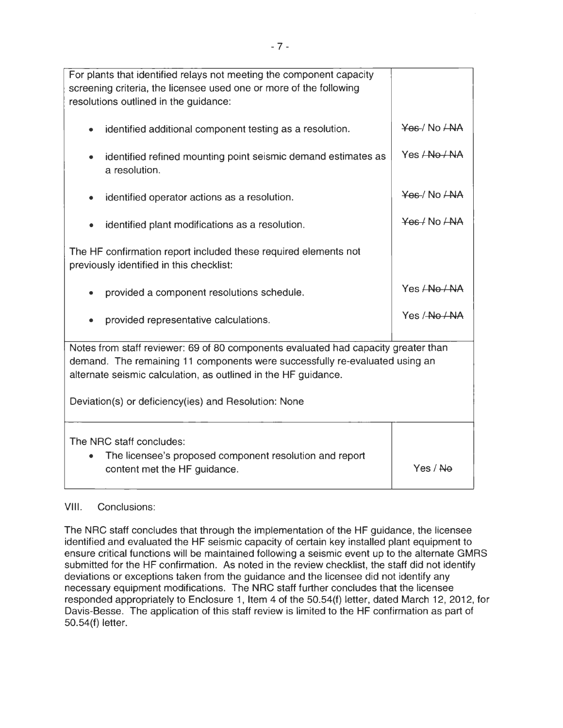| For plants that identified relays not meeting the component capacity<br>screening criteria, the licensee used one or more of the following<br>resolutions outlined in the guidance:                                                                                                         |                         |  |
|---------------------------------------------------------------------------------------------------------------------------------------------------------------------------------------------------------------------------------------------------------------------------------------------|-------------------------|--|
| identified additional component testing as a resolution.                                                                                                                                                                                                                                    | Yes / No ANA            |  |
| identified refined mounting point seismic demand estimates as<br>a resolution.                                                                                                                                                                                                              | Yes <del>/No / NA</del> |  |
| identified operator actions as a resolution.                                                                                                                                                                                                                                                | Yes / No ANA            |  |
| identified plant modifications as a resolution.                                                                                                                                                                                                                                             | Yes / No / AAA          |  |
| The HF confirmation report included these required elements not<br>previously identified in this checklist:                                                                                                                                                                                 |                         |  |
| provided a component resolutions schedule.                                                                                                                                                                                                                                                  | Yes ANo ANA             |  |
| provided representative calculations.                                                                                                                                                                                                                                                       | Yes / No / NA           |  |
| Notes from staff reviewer: 69 of 80 components evaluated had capacity greater than<br>demand. The remaining 11 components were successfully re-evaluated using an<br>alternate seismic calculation, as outlined in the HF guidance.<br>Deviation(s) or deficiency(ies) and Resolution: None |                         |  |
| The NRC staff concludes:<br>The licensee's proposed component resolution and report<br>content met the HF guidance.                                                                                                                                                                         | Yes / <del>No</del>     |  |

## VIII. Conclusions:

The NRC staff concludes that through the implementation of the HF guidance, the licensee identified and evaluated the HF seismic capacity of certain key installed plant equipment to ensure critical functions will be maintained following a seismic event up to the alternate GMRS submitted for the HF confirmation. As noted in the review checklist, the staff did not identify deviations or exceptions taken from the guidance and the licensee did not identify any necessary equipment modifications. The NRC staff further concludes that the licensee responded appropriately to Enclosure 1, Item 4 of the 50.54(f) letter, dated March 12, 2012, for Davis-Besse. The application of this staff review is limited to the HF confirmation as part of 50.54(f) letter.